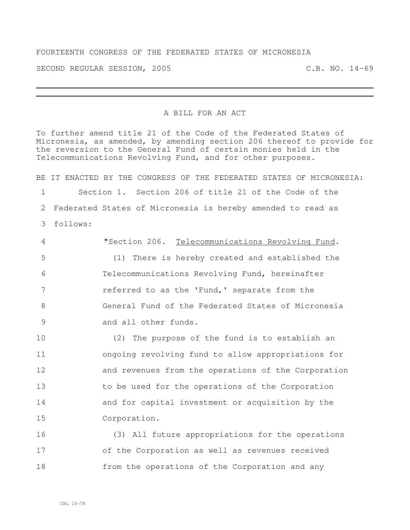## FOURTEENTH CONGRESS OF THE FEDERATED STATES OF MICRONESIA

SECOND REGULAR SESSION, 2005 C.B. NO. 14-69

## A BILL FOR AN ACT

To further amend title 21 of the Code of the Federated States of Micronesia, as amended, by amending section 206 thereof to provide for the reversion to the General Fund of certain monies held in the Telecommunications Revolving Fund, and for other purposes.

BE IT ENACTED BY THE CONGRESS OF THE FEDERATED STATES OF MICRONESIA: Section 1. Section 206 of title 21 of the Code of the Federated States of Micronesia is hereby amended to read as follows:

 "Section 206. Telecommunications Revolving Fund. (1) There is hereby created and established the Telecommunications Revolving Fund, hereinafter **referred to as the 'Fund,' separate from the**  General Fund of the Federated States of Micronesia and all other funds.

 (2) The purpose of the fund is to establish an ongoing revolving fund to allow appropriations for and revenues from the operations of the Corporation to be used for the operations of the Corporation and for capital investment or acquisition by the Corporation.

 (3) All future appropriations for the operations of the Corporation as well as revenues received from the operations of the Corporation and any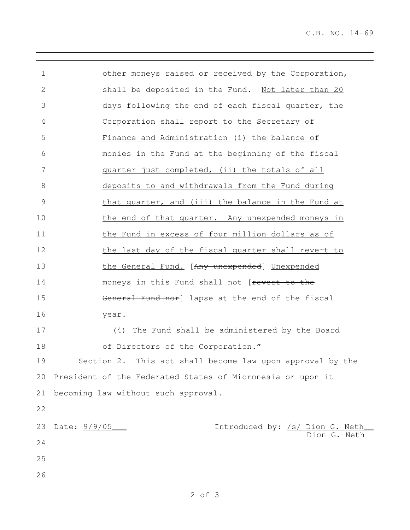| 1            | other moneys raised or received by the Corporation,             |
|--------------|-----------------------------------------------------------------|
| $\mathbf{2}$ | shall be deposited in the Fund. Not later than 20               |
| 3            | days following the end of each fiscal quarter, the              |
| 4            | Corporation shall report to the Secretary of                    |
| 5            | Finance and Administration (i) the balance of                   |
| 6            | monies in the Fund at the beginning of the fiscal               |
| 7            | quarter just completed, (ii) the totals of all                  |
| 8            | deposits to and withdrawals from the Fund during                |
| 9            | that quarter, and (iii) the balance in the Fund at              |
| 10           | the end of that quarter. Any unexpended moneys in               |
| 11           | the Fund in excess of four million dollars as of                |
| 12           | the last day of the fiscal quarter shall revert to              |
| 13           | the General Fund. [Any unexpended] Unexpended                   |
| 14           | moneys in this Fund shall not [revert to the                    |
| 15           | General Fund nor] lapse at the end of the fiscal                |
| 16           | year.                                                           |
| 17           | The Fund shall be administered by the Board<br>(4)              |
| 18           | of Directors of the Corporation."                               |
| 19           | Section 2. This act shall become law upon approval by the       |
|              | 20 President of the Federated States of Micronesia or upon it   |
| 21           | becoming law without such approval.                             |
| 22           |                                                                 |
| 23           | Date: 9/9/05<br>Introduced by: /s/ Dion G. Neth<br>Dion G. Neth |
| 24           |                                                                 |
| 25           |                                                                 |
| 26           |                                                                 |